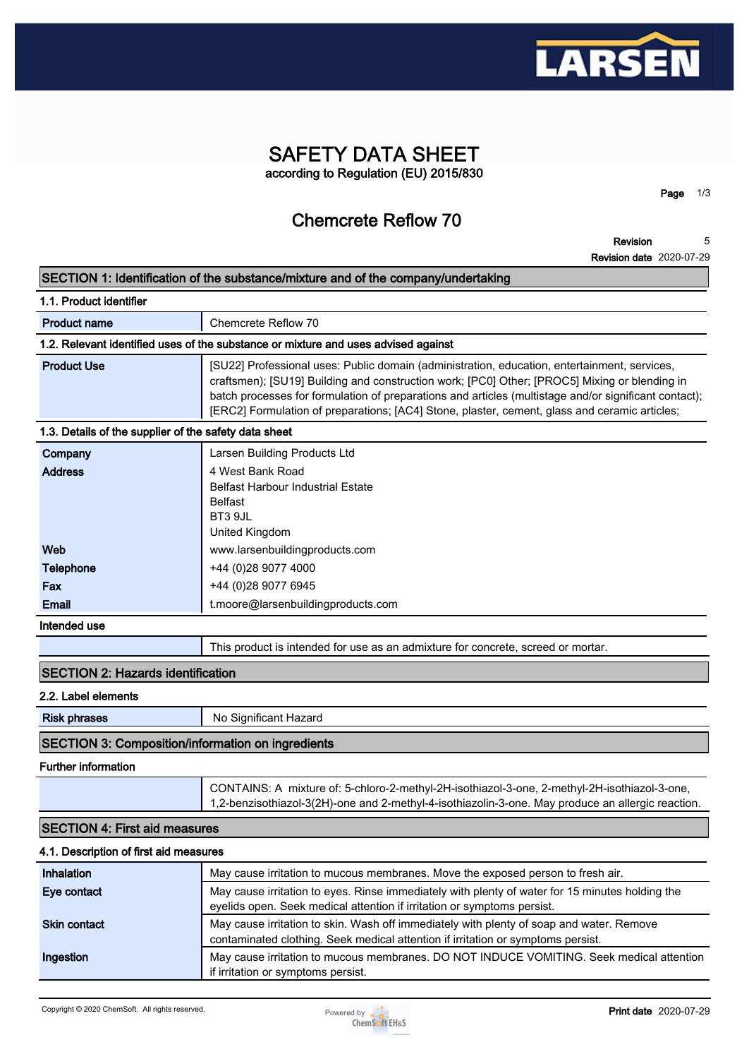

### **SAFETY DATA SHEET according to Regulation (EU) 2015/830**

**Chemcrete Reflow 70**

**Revision Revision date 2020-07-29 5**

**Page 1/3**

## **SECTION 1: Identification of the substance/mixture and of the company/undertaking 1.1. Product identifier Product name Chemcrete Reflow 70 1.2. Relevant identified uses of the substance or mixture and uses advised against Product Use <b>[SU22]** Professional uses: Public domain (administration, education, entertainment, services, **craftsmen); [SU19] Building and construction work; [PC0] Other; [PROC5] Mixing or blending in batch processes for formulation of preparations and articles (multistage and/or significant contact); [ERC2] Formulation of preparations; [AC4] Stone, plaster, cement, glass and ceramic articles; 1.3. Details of the supplier of the safety data sheet Company Larsen Building Products Ltd Address 4 West Bank Road Belfast Harbour Industrial Estate Belfast BT3 9JL United Kingdom Web www.larsenbuildingproducts.com Telephone +44 (0)28 9077 4000 Fax +44 (0)28 9077 6945 Email t.moore@larsenbuildingproducts.com Intended use This product is intended for use as an admixture for concrete, screed or mortar. SECTION 2: Hazards identification 2.2. Label elements Risk phrases** No Significant Hazard **SECTION 3: Composition/information on ingredients Further information CONTAINS: A mixture of: 5-chloro-2-methyl-2H-isothiazol-3-one, 2-methyl-2H-isothiazol-3-one, 1,2-benzisothiazol-3(2H)-one and 2-methyl-4-isothiazolin-3-one. May produce an allergic reaction. SECTION 4: First aid measures 4.1. Description of first aid measures Inhalation May cause irritation to mucous membranes. Move the exposed person to fresh air. Eye contact May cause irritation to eyes. Rinse immediately with plenty of water for 15 minutes holding the eyelids open. Seek medical attention if irritation or symptoms persist.**

**Skin contact May cause irritation to skin. Wash off immediately with plenty of soap and water. Remove contaminated clothing. Seek medical attention if irritation or symptoms persist. Ingestion May cause irritation to mucous membranes. DO NOT INDUCE VOMITING. Seek medical attention if irritation or symptoms persist.**

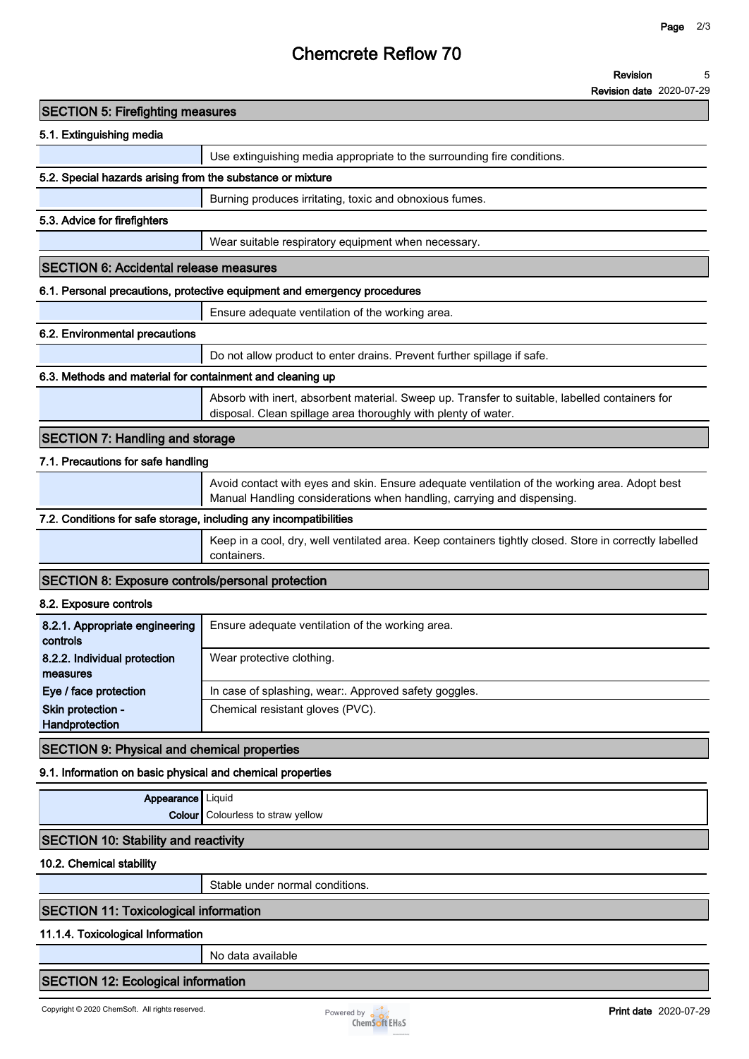## **Chemcrete Reflow 70**

**Revision date 2020-07-29**

| <b>SECTION 5: Firefighting measures</b>                           |                                                                                                                                                                         |
|-------------------------------------------------------------------|-------------------------------------------------------------------------------------------------------------------------------------------------------------------------|
| 5.1. Extinguishing media                                          |                                                                                                                                                                         |
|                                                                   | Use extinguishing media appropriate to the surrounding fire conditions.                                                                                                 |
| 5.2. Special hazards arising from the substance or mixture        |                                                                                                                                                                         |
|                                                                   | Burning produces irritating, toxic and obnoxious fumes.                                                                                                                 |
| 5.3. Advice for firefighters                                      |                                                                                                                                                                         |
|                                                                   | Wear suitable respiratory equipment when necessary.                                                                                                                     |
| <b>SECTION 6: Accidental release measures</b>                     |                                                                                                                                                                         |
|                                                                   | 6.1. Personal precautions, protective equipment and emergency procedures                                                                                                |
|                                                                   | Ensure adequate ventilation of the working area.                                                                                                                        |
| 6.2. Environmental precautions                                    |                                                                                                                                                                         |
|                                                                   | Do not allow product to enter drains. Prevent further spillage if safe.                                                                                                 |
| 6.3. Methods and material for containment and cleaning up         |                                                                                                                                                                         |
|                                                                   | Absorb with inert, absorbent material. Sweep up. Transfer to suitable, labelled containers for<br>disposal. Clean spillage area thoroughly with plenty of water.        |
| <b>SECTION 7: Handling and storage</b>                            |                                                                                                                                                                         |
| 7.1. Precautions for safe handling                                |                                                                                                                                                                         |
|                                                                   | Avoid contact with eyes and skin. Ensure adequate ventilation of the working area. Adopt best<br>Manual Handling considerations when handling, carrying and dispensing. |
| 7.2. Conditions for safe storage, including any incompatibilities |                                                                                                                                                                         |
|                                                                   | Keep in a cool, dry, well ventilated area. Keep containers tightly closed. Store in correctly labelled<br>containers.                                                   |
| <b>SECTION 8: Exposure controls/personal protection</b>           |                                                                                                                                                                         |
| 8.2. Exposure controls                                            |                                                                                                                                                                         |
| 8.2.1. Appropriate engineering<br>controls                        | Ensure adequate ventilation of the working area.                                                                                                                        |
| 8.2.2. Individual protection<br>measures                          | Wear protective clothing.                                                                                                                                               |
| Eye / face protection                                             | In case of splashing, wear:. Approved safety goggles.                                                                                                                   |
| Skin protection -<br>Handprotection                               | Chemical resistant gloves (PVC).                                                                                                                                        |
| <b>SECTION 9: Physical and chemical properties</b>                |                                                                                                                                                                         |
| 9.1. Information on basic physical and chemical properties        |                                                                                                                                                                         |
| Appearance   Liquid                                               |                                                                                                                                                                         |
|                                                                   | <b>Colour</b> Colourless to straw yellow                                                                                                                                |
| <b>SECTION 10: Stability and reactivity</b>                       |                                                                                                                                                                         |
| 10.2. Chemical stability                                          |                                                                                                                                                                         |
|                                                                   | Stable under normal conditions.                                                                                                                                         |
| <b>SECTION 11: Toxicological information</b>                      |                                                                                                                                                                         |
|                                                                   |                                                                                                                                                                         |

#### **11.1.4. Toxicological Information**

**No data available**

#### **SECTION 12: Ecological information**